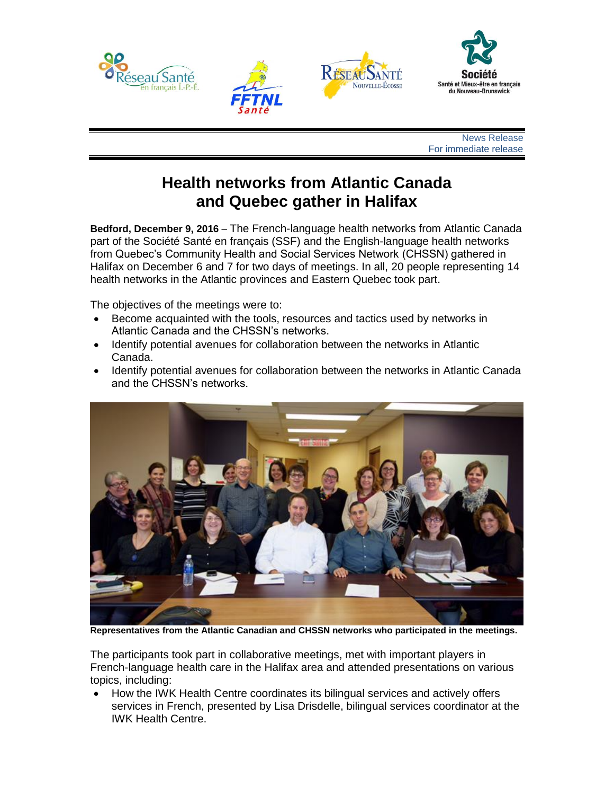

News Release For immediate release

## **Health networks from Atlantic Canada and Quebec gather in Halifax**

**Bedford, December 9, 2016** – The French-language health networks from Atlantic Canada part of the Société Santé en français (SSF) and the English-language health networks from Quebec's Community Health and Social Services Network (CHSSN) gathered in Halifax on December 6 and 7 for two days of meetings. In all, 20 people representing 14 health networks in the Atlantic provinces and Eastern Quebec took part.

The objectives of the meetings were to:

- Become acquainted with the tools, resources and tactics used by networks in Atlantic Canada and the CHSSN's networks.
- Identify potential avenues for collaboration between the networks in Atlantic Canada.
- Identify potential avenues for collaboration between the networks in Atlantic Canada and the CHSSN's networks.



**Representatives from the Atlantic Canadian and CHSSN networks who participated in the meetings.** 

The participants took part in collaborative meetings, met with important players in French-language health care in the Halifax area and attended presentations on various topics, including:

• How the IWK Health Centre coordinates its bilingual services and actively offers services in French, presented by Lisa Drisdelle, bilingual services coordinator at the IWK Health Centre.